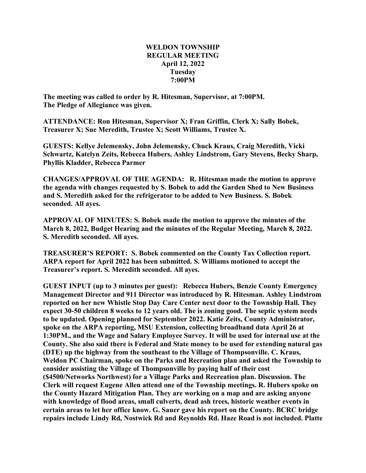## **WELDON TOWNSHIP REGULAR MEETING April 12, 2022 Tuesday 7:00PM**

**The meeting was called to order by R. Hitesman, Supervisor, at 7:00PM. The Pledge of Allegiance was given.**

**ATTENDANCE: Ron Hitesman, Supervisor X; Fran Griffin, Clerk X; Sally Bobek, Treasurer X; Sue Meredith, Trustee X; Scott Williams, Trustee X.**

**GUESTS: Kellye Jelemensky, John Jelemensky, Chuck Kraus, Craig Meredith, Vicki Schwartz, Katelyn Zeits, Rebecca Hubers, Ashley Lindstrom, Gary Stevens, Becky Sharp, Phyllis Kladder, Rebecca Parmer**

**CHANGES/APPROVAL OF THE AGENDA: R. Hitesman made the motion to approve the agenda with changes requested by S. Bobek to add the Garden Shed to New Business and S. Meredith asked for the refrigerator to be added to New Business. S. Bobek seconded. All ayes.**

**APPROVAL OF MINUTES: S. Bobek made the motion to approve the minutes of the March 8, 2022, Budget Hearing and the minutes of the Regular Meeting, March 8, 2022. S. Meredith seconded. All ayes.**

**TREASURER'S REPORT: S. Bobek commented on the County Tax Collection report. ARPA report for April 2022 has been submitted. S. Williams motioned to accept the Treasurer's report. S. Meredith seconded. All ayes.**

**GUEST INPUT (up to 3 minutes per guest): Rebecca Hubers, Benzie County Emergency Management Director and 911 Director was introduced by R. Hitesman. Ashley Lindstrom reported on her new Whistle Stop Day Care Center next door to the Township Hall. They expect 30-50 children 8 weeks to 12 years old. The is zoning good. The septic system needs to be updated. Opening planned for September 2022. Katie Zeits, County Administrator, spoke on the ARPA reporting, MSU Extension, collecting broadband data April 26 at 1:30PM., and the Wage and Salary Employee Survey. It will be used for internal use at the County. She also said there is Federal and State money to be used for extending natural gas (DTE) up the highway from the southeast to the Village of Thompsonville. C. Kraus, Weldon PC Chairman, spoke on the Parks and Recreation plan and asked the Township to consider assisting the Village of Thompsonville by paying half of their cost (\$4500/Networks Northwest) for a Village Parks and Recreation plan. Discussion. The Clerk will request Eugene Allen attend one of the Township meetings. R. Hubers spoke on the County Hazard Mitigation Plan. They are working on a map and are asking anyone with knowledge of flood areas, small culverts, dead ash trees, historic weather events in certain areas to let her office know. G. Sauer gave his report on the County. BCRC bridge repairs include Lindy Rd, Nostwick Rd and Reynolds Rd. Haze Road is not included. Platte**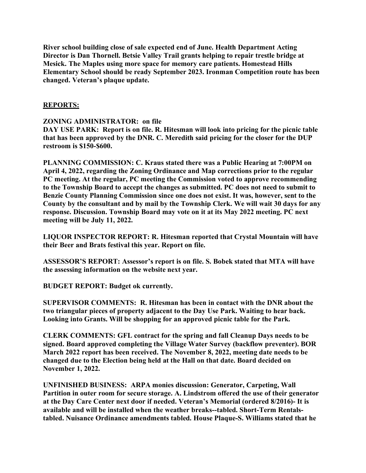**River school building close of sale expected end of June. Health Department Acting Director is Dan Thornell. Betsie Valley Trail grants helping to repair trestle bridge at Mesick. The Maples using more space for memory care patients. Homestead Hills Elementary School should be ready September 2023. Ironman Competition route has been changed. Veteran's plaque update.**

## **REPORTS:**

## **ZONING ADMINISTRATOR: on file**

**DAY USE PARK: Report is on file. R. Hitesman will look into pricing for the picnic table that has been approved by the DNR. C. Meredith said pricing for the closer for the DUP restroom is \$150-\$600.**

**PLANNING COMMISSION: C. Kraus stated there was a Public Hearing at 7:00PM on April 4, 2022, regarding the Zoning Ordinance and Map corrections prior to the regular PC meeting. At the regular, PC meeting the Commission voted to approve recommending to the Township Board to accept the changes as submitted. PC does not need to submit to Benzie County Planning Commission since one does not exist. It was, however, sent to the County by the consultant and by mail by the Township Clerk. We will wait 30 days for any response. Discussion. Township Board may vote on it at its May 2022 meeting. PC next meeting will be July 11, 2022.**

**LIQUOR INSPECTOR REPORT: R. Hitesman reported that Crystal Mountain will have their Beer and Brats festival this year. Report on file.**

**ASSESSOR'S REPORT: Assessor's report is on file. S. Bobek stated that MTA will have the assessing information on the website next year.**

**BUDGET REPORT: Budget ok currently.**

**SUPERVISOR COMMENTS: R. Hitesman has been in contact with the DNR about the two triangular pieces of property adjacent to the Day Use Park. Waiting to hear back. Looking into Grants. Will be shopping for an approved picnic table for the Park.**

**CLERK COMMENTS: GFL contract for the spring and fall Cleanup Days needs to be signed. Board approved completing the Village Water Survey (backflow preventer). BOR March 2022 report has been received. The November 8, 2022, meeting date needs to be changed due to the Election being held at the Hall on that date. Board decided on November 1, 2022.**

**UNFINISHED BUSINESS: ARPA monies discussion: Generator, Carpeting, Wall Partition in outer room for secure storage. A. Lindstrom offered the use of their generator at the Day Care Center next door if needed. Veteran's Memorial (ordered 8/2016)- It is available and will be installed when the weather breaks--tabled. Short-Term Rentalstabled. Nuisance Ordinance amendments tabled. House Plaque-S. Williams stated that he**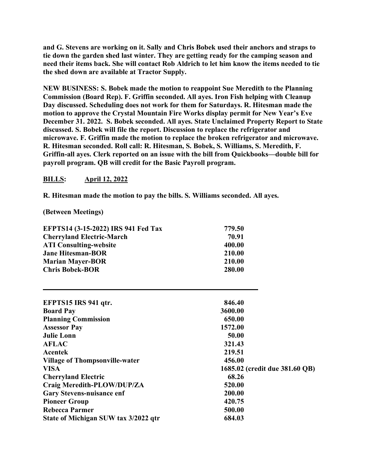**and G. Stevens are working on it. Sally and Chris Bobek used their anchors and straps to tie down the garden shed last winter. They are getting ready for the camping season and need their items back. She will contact Rob Aldrich to let him know the items needed to tie the shed down are available at Tractor Supply.**

**NEW BUSINESS: S. Bobek made the motion to reappoint Sue Meredith to the Planning Commission (Board Rep). F. Griffin seconded. All ayes. Iron Fish helping with Cleanup Day discussed. Scheduling does not work for them for Saturdays. R. Hitesman made the motion to approve the Crystal Mountain Fire Works display permit for New Year's Eve December 31. 2022. S. Bobek seconded. All ayes. State Unclaimed Property Report to State discussed. S. Bobek will file the report. Discussion to replace the refrigerator and microwave. F. Griffin made the motion to replace the broken refrigerator and microwave. R. Hitesman seconded. Roll call: R. Hitesman, S. Bobek, S. Williams, S. Meredith, F. Griffin-all ayes. Clerk reported on an issue with the bill from Quickbooks—double bill for payroll program. QB will credit for the Basic Payroll program.**

## **BILLS: April 12, 2022**

**R. Hitesman made the motion to pay the bills. S. Williams seconded. All ayes.**

**(Between Meetings)**

| <b>EFPTS14 (3-15-2022) IRS 941 Fed Tax</b> | 779.50 |
|--------------------------------------------|--------|
| <b>Cherryland Electric-March</b>           | 70.91  |
| <b>ATI Consulting-website</b>              | 400.00 |
| <b>Jane Hitesman-BOR</b>                   | 210.00 |
| <b>Marian Mayer-BOR</b>                    | 210.00 |
| <b>Chris Bobek-BOR</b>                     | 280.00 |

| EFPTS15 IRS 941 qtr.                  | 846.40                         |
|---------------------------------------|--------------------------------|
| <b>Board Pay</b>                      | 3600.00                        |
| <b>Planning Commission</b>            | 650.00                         |
| <b>Assessor Pay</b>                   | 1572.00                        |
| <b>Julie Lonn</b>                     | 50.00                          |
| <b>AFLAC</b>                          | 321.43                         |
| Acentek                               | 219.51                         |
| <b>Village of Thompsonville-water</b> | 456.00                         |
| <b>VISA</b>                           | 1685.02 (credit due 381.60 QB) |
| <b>Cherryland Electric</b>            | 68.26                          |
| Craig Meredith-PLOW/DUP/ZA            | 520.00                         |
| <b>Gary Stevens-nuisance enf</b>      | 200.00                         |
| <b>Pioneer Group</b>                  | 420.75                         |
| Rebecca Parmer                        | 500.00                         |
| State of Michigan SUW tax 3/2022 qtr  | 684.03                         |